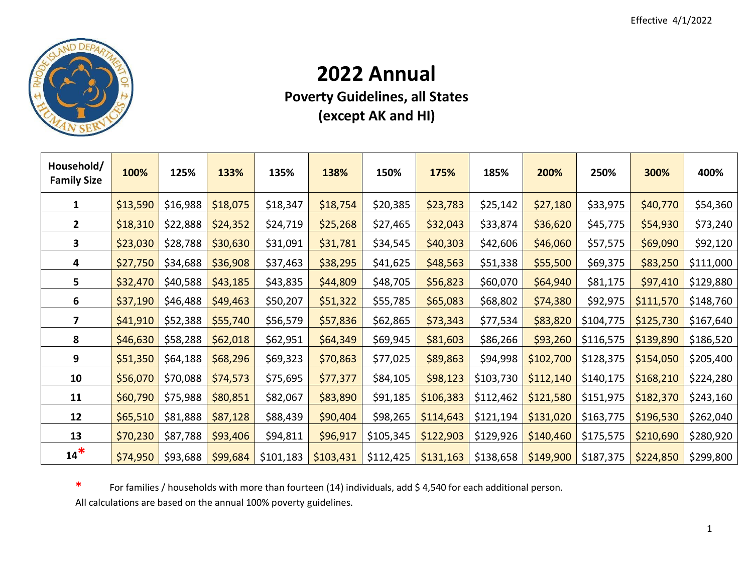

## **Annual**

**Poverty Guidelines, all States (except AK and HI)**

| Household/<br><b>Family Size</b> | 100%     | 125%     | 133%     | 135%      | 138%      | 150%      | 175%      | 185%      | 200%      | 250%      | 300%      | 400%      |
|----------------------------------|----------|----------|----------|-----------|-----------|-----------|-----------|-----------|-----------|-----------|-----------|-----------|
| 1                                | \$13,590 | \$16,988 | \$18,075 | \$18,347  | \$18,754  | \$20,385  | \$23,783  | \$25,142  | \$27,180  | \$33,975  | \$40,770  | \$54,360  |
| $\overline{2}$                   | \$18,310 | \$22,888 | \$24,352 | \$24,719  | \$25,268  | \$27,465  | \$32,043  | \$33,874  | \$36,620  | \$45,775  | \$54,930  | \$73,240  |
| 3                                | \$23,030 | \$28,788 | \$30,630 | \$31,091  | \$31,781  | \$34,545  | \$40,303  | \$42,606  | \$46,060  | \$57,575  | \$69,090  | \$92,120  |
| 4                                | \$27,750 | \$34,688 | \$36,908 | \$37,463  | \$38,295  | \$41,625  | \$48,563  | \$51,338  | \$55,500  | \$69,375  | \$83,250  | \$111,000 |
| 5                                | \$32,470 | \$40,588 | \$43,185 | \$43,835  | \$44,809  | \$48,705  | \$56,823  | \$60,070  | \$64,940  | \$81,175  | \$97,410  | \$129,880 |
| 6                                | \$37,190 | \$46,488 | \$49,463 | \$50,207  | \$51,322  | \$55,785  | \$65,083  | \$68,802  | \$74,380  | \$92,975  | \$111,570 | \$148,760 |
| 7                                | \$41,910 | \$52,388 | \$55,740 | \$56,579  | \$57,836  | \$62,865  | \$73,343  | \$77,534  | \$83,820  | \$104,775 | \$125,730 | \$167,640 |
| 8                                | \$46,630 | \$58,288 | \$62,018 | \$62,951  | \$64,349  | \$69,945  | \$81,603  | \$86,266  | \$93,260  | \$116,575 | \$139,890 | \$186,520 |
| 9                                | \$51,350 | \$64,188 | \$68,296 | \$69,323  | \$70,863  | \$77,025  | \$89,863  | \$94,998  | \$102,700 | \$128,375 | \$154,050 | \$205,400 |
| 10                               | \$56,070 | \$70,088 | \$74,573 | \$75,695  | \$77,377  | \$84,105  | \$98,123  | \$103,730 | \$112,140 | \$140,175 | \$168,210 | \$224,280 |
| 11                               | \$60,790 | \$75,988 | \$80,851 | \$82,067  | \$83,890  | \$91,185  | \$106,383 | \$112,462 | \$121,580 | \$151,975 | \$182,370 | \$243,160 |
| 12                               | \$65,510 | \$81,888 | \$87,128 | \$88,439  | \$90,404  | \$98,265  | \$114,643 | \$121,194 | \$131,020 | \$163,775 | \$196,530 | \$262,040 |
| 13                               | \$70,230 | \$87,788 | \$93,406 | \$94,811  | \$96,917  | \$105,345 | \$122,903 | \$129,926 | \$140,460 | \$175,575 | \$210,690 | \$280,920 |
| $14*$                            | \$74,950 | \$93,688 | \$99,684 | \$101,183 | \$103,431 | \$112,425 | \$131,163 | \$138,658 | \$149,900 | \$187,375 | \$224,850 | \$299,800 |

**\*** For families / households with more than fourteen (14) individuals, add \$ 4,540 for each additional person. All calculations are based on the annual 100% poverty guidelines.